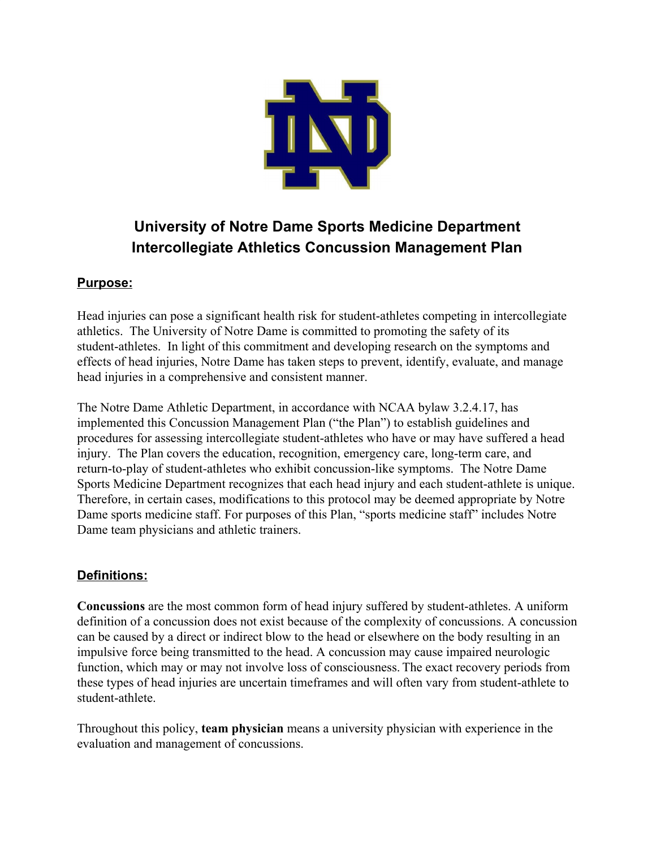

# **University of Notre Dame Sports Medicine Department Intercollegiate Athletics Concussion Management Plan**

# **Purpose:**

Head injuries can pose a significant health risk for student-athletes competing in intercollegiate athletics. The University of Notre Dame is committed to promoting the safety of its student-athletes. In light of this commitment and developing research on the symptoms and effects of head injuries, Notre Dame has taken steps to prevent, identify, evaluate, and manage head injuries in a comprehensive and consistent manner.

The Notre Dame Athletic Department, in accordance with NCAA bylaw 3.2.4.17, has implemented this Concussion Management Plan ("the Plan") to establish guidelines and procedures for assessing intercollegiate student-athletes who have or may have suffered a head injury. The Plan covers the education, recognition, emergency care, long-term care, and return-to-play of student-athletes who exhibit concussion-like symptoms. The Notre Dame Sports Medicine Department recognizes that each head injury and each student-athlete is unique. Therefore, in certain cases, modifications to this protocol may be deemed appropriate by Notre Dame sports medicine staff. For purposes of this Plan, "sports medicine staff" includes Notre Dame team physicians and athletic trainers.

# **Definitions:**

**Concussions** are the most common form of head injury suffered by student-athletes. A uniform definition of a concussion does not exist because of the complexity of concussions. A concussion can be caused by a direct or indirect blow to the head or elsewhere on the body resulting in an impulsive force being transmitted to the head. A concussion may cause impaired neurologic function, which may or may not involve loss of consciousness. The exact recovery periods from these types of head injuries are uncertain timeframes and will often vary from student-athlete to student-athlete.

Throughout this policy, **team physician** means a university physician with experience in the evaluation and management of concussions.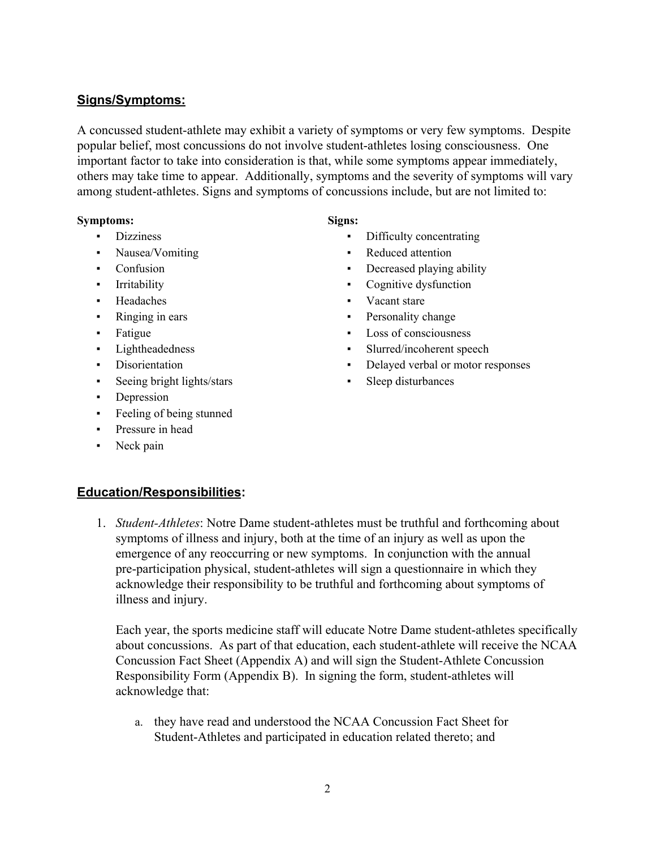#### **Signs/Symptoms:**

A concussed student-athlete may exhibit a variety of symptoms or very few symptoms. Despite popular belief, most concussions do not involve student-athletes losing consciousness. One important factor to take into consideration is that, while some symptoms appear immediately, others may take time to appear. Additionally, symptoms and the severity of symptoms will vary among student-athletes. Signs and symptoms of concussions include, but are not limited to:

#### **Symptoms: Signs:**

- 
- 
- 
- 
- 
- 
- 
- 
- 
- Seeing bright lights/stars Sleep disturbances
- **•** Depression
- Feeling of being stunned
- Pressure in head
- Neck pain

- Dizziness Difficulty concentrating
- Nausea/Vomiting  **Reduced attention**
- Confusion Decreased playing ability
- Irritability **•** Cognitive dysfunction
- Headaches Vacant stare
- Ringing in ears **Personality change**
- Fatigue **Example 1** Loss of consciousness **Fatigue Example 1** Loss of consciousness
- Lightheadedness Slurred/incoherent speech
- Disorientation **•** Delayed verbal or motor responses
	-

#### **Education/Responsibilities:**

1. *Student-Athletes*: Notre Dame student-athletes must be truthful and forthcoming about symptoms of illness and injury, both at the time of an injury as well as upon the emergence of any reoccurring or new symptoms. In conjunction with the annual pre-participation physical, student-athletes will sign a questionnaire in which they acknowledge their responsibility to be truthful and forthcoming about symptoms of illness and injury.

Each year, the sports medicine staff will educate Notre Dame student-athletes specifically about concussions. As part of that education, each student-athlete will receive the NCAA Concussion Fact Sheet (Appendix A) and will sign the Student-Athlete Concussion Responsibility Form (Appendix B). In signing the form, student-athletes will acknowledge that:

a. they have read and understood the NCAA Concussion Fact Sheet for Student-Athletes and participated in education related thereto; and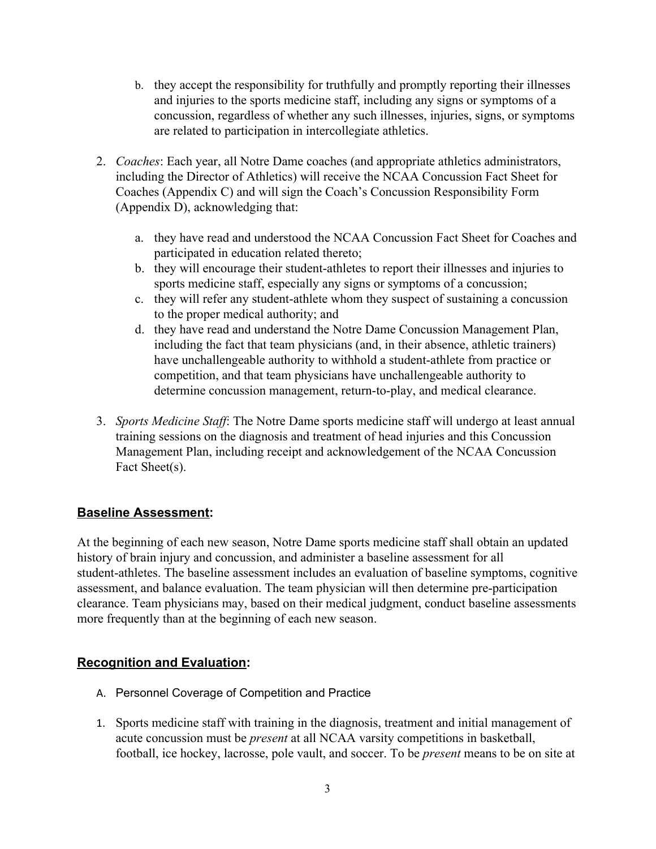- b. they accept the responsibility for truthfully and promptly reporting their illnesses and injuries to the sports medicine staff, including any signs or symptoms of a concussion, regardless of whether any such illnesses, injuries, signs, or symptoms are related to participation in intercollegiate athletics.
- 2. *Coaches*: Each year, all Notre Dame coaches (and appropriate athletics administrators, including the Director of Athletics) will receive the NCAA Concussion Fact Sheet for Coaches (Appendix C) and will sign the Coach's Concussion Responsibility Form (Appendix D), acknowledging that:
	- a. they have read and understood the NCAA Concussion Fact Sheet for Coaches and participated in education related thereto;
	- b. they will encourage their student-athletes to report their illnesses and injuries to sports medicine staff, especially any signs or symptoms of a concussion;
	- c. they will refer any student-athlete whom they suspect of sustaining a concussion to the proper medical authority; and
	- d. they have read and understand the Notre Dame Concussion Management Plan, including the fact that team physicians (and, in their absence, athletic trainers) have unchallengeable authority to withhold a student-athlete from practice or competition, and that team physicians have unchallengeable authority to determine concussion management, return-to-play, and medical clearance.
- 3. *Sports Medicine Staff*: The Notre Dame sports medicine staff will undergo at least annual training sessions on the diagnosis and treatment of head injuries and this Concussion Management Plan, including receipt and acknowledgement of the NCAA Concussion Fact Sheet(s).

# **Baseline Assessment:**

At the beginning of each new season, Notre Dame sports medicine staff shall obtain an updated history of brain injury and concussion, and administer a baseline assessment for all student-athletes. The baseline assessment includes an evaluation of baseline symptoms, cognitive assessment, and balance evaluation. The team physician will then determine pre-participation clearance. Team physicians may, based on their medical judgment, conduct baseline assessments more frequently than at the beginning of each new season.

# **Recognition and Evaluation:**

- A. Personnel Coverage of Competition and Practice
- 1. Sports medicine staff with training in the diagnosis, treatment and initial management of acute concussion must be *present* at all NCAA varsity competitions in basketball, football, ice hockey, lacrosse, pole vault, and soccer. To be *present* means to be on site at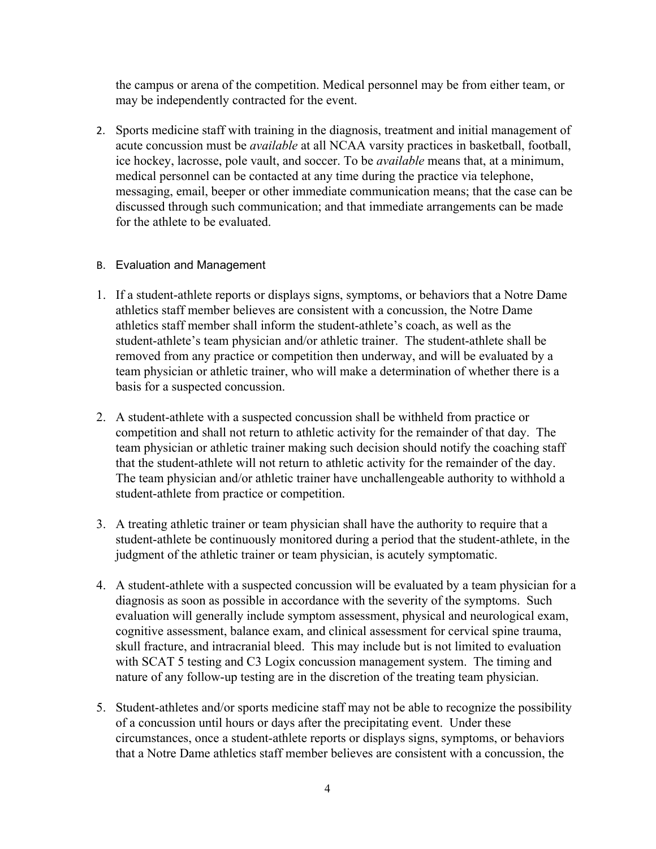the campus or arena of the competition. Medical personnel may be from either team, or may be independently contracted for the event.

2. Sports medicine staff with training in the diagnosis, treatment and initial management of acute concussion must be *available* at all NCAA varsity practices in basketball, football, ice hockey, lacrosse, pole vault, and soccer. To be *available* means that, at a minimum, medical personnel can be contacted at any time during the practice via telephone, messaging, email, beeper or other immediate communication means; that the case can be discussed through such communication; and that immediate arrangements can be made for the athlete to be evaluated.

#### B. Evaluation and Management

- 1. If a student-athlete reports or displays signs, symptoms, or behaviors that a Notre Dame athletics staff member believes are consistent with a concussion, the Notre Dame athletics staff member shall inform the student-athlete's coach, as well as the student-athlete's team physician and/or athletic trainer. The student-athlete shall be removed from any practice or competition then underway, and will be evaluated by a team physician or athletic trainer, who will make a determination of whether there is a basis for a suspected concussion.
- 2. A student-athlete with a suspected concussion shall be withheld from practice or competition and shall not return to athletic activity for the remainder of that day. The team physician or athletic trainer making such decision should notify the coaching staff that the student-athlete will not return to athletic activity for the remainder of the day. The team physician and/or athletic trainer have unchallengeable authority to withhold a student-athlete from practice or competition.
- 3. A treating athletic trainer or team physician shall have the authority to require that a student-athlete be continuously monitored during a period that the student-athlete, in the judgment of the athletic trainer or team physician, is acutely symptomatic.
- 4. A student-athlete with a suspected concussion will be evaluated by a team physician for a diagnosis as soon as possible in accordance with the severity of the symptoms. Such evaluation will generally include symptom assessment, physical and neurological exam, cognitive assessment, balance exam, and clinical assessment for cervical spine trauma, skull fracture, and intracranial bleed. This may include but is not limited to evaluation with SCAT 5 testing and C3 Logix concussion management system. The timing and nature of any follow-up testing are in the discretion of the treating team physician.
- 5. Student-athletes and/or sports medicine staff may not be able to recognize the possibility of a concussion until hours or days after the precipitating event. Under these circumstances, once a student-athlete reports or displays signs, symptoms, or behaviors that a Notre Dame athletics staff member believes are consistent with a concussion, the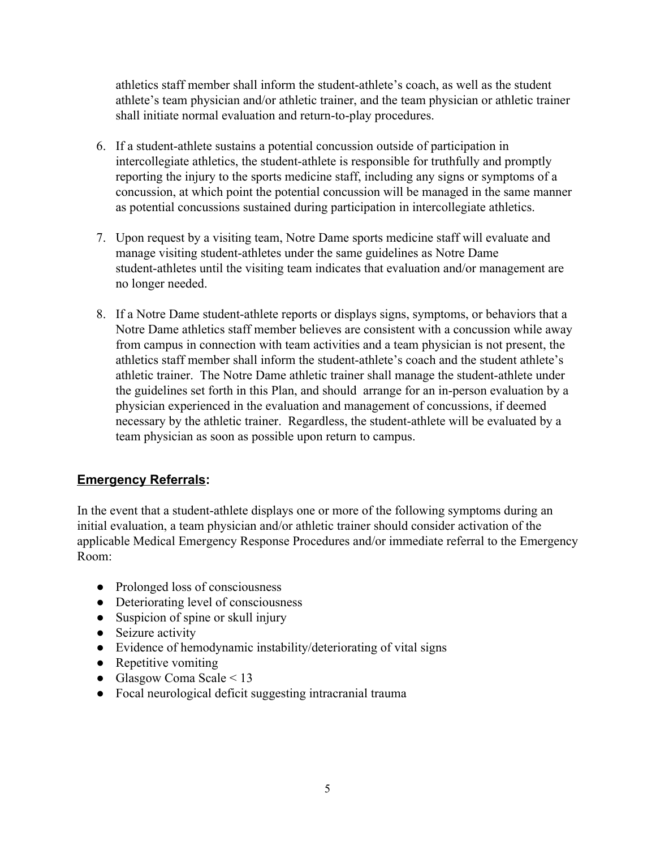athletics staff member shall inform the student-athlete's coach, as well as the student athlete's team physician and/or athletic trainer, and the team physician or athletic trainer shall initiate normal evaluation and return-to-play procedures.

- 6. If a student-athlete sustains a potential concussion outside of participation in intercollegiate athletics, the student-athlete is responsible for truthfully and promptly reporting the injury to the sports medicine staff, including any signs or symptoms of a concussion, at which point the potential concussion will be managed in the same manner as potential concussions sustained during participation in intercollegiate athletics.
- 7. Upon request by a visiting team, Notre Dame sports medicine staff will evaluate and manage visiting student-athletes under the same guidelines as Notre Dame student-athletes until the visiting team indicates that evaluation and/or management are no longer needed.
- 8. If a Notre Dame student-athlete reports or displays signs, symptoms, or behaviors that a Notre Dame athletics staff member believes are consistent with a concussion while away from campus in connection with team activities and a team physician is not present, the athletics staff member shall inform the student-athlete's coach and the student athlete's athletic trainer. The Notre Dame athletic trainer shall manage the student-athlete under the guidelines set forth in this Plan, and should arrange for an in-person evaluation by a physician experienced in the evaluation and management of concussions, if deemed necessary by the athletic trainer. Regardless, the student-athlete will be evaluated by a team physician as soon as possible upon return to campus.

# **Emergency Referrals:**

In the event that a student-athlete displays one or more of the following symptoms during an initial evaluation, a team physician and/or athletic trainer should consider activation of the applicable Medical Emergency Response Procedures and/or immediate referral to the Emergency Room:

- Prolonged loss of consciousness
- Deteriorating level of consciousness
- Suspicion of spine or skull injury
- Seizure activity
- Evidence of hemodynamic instability/deteriorating of vital signs
- Repetitive vomiting
- Glasgow Coma Scale  $\leq 13$
- Focal neurological deficit suggesting intracranial trauma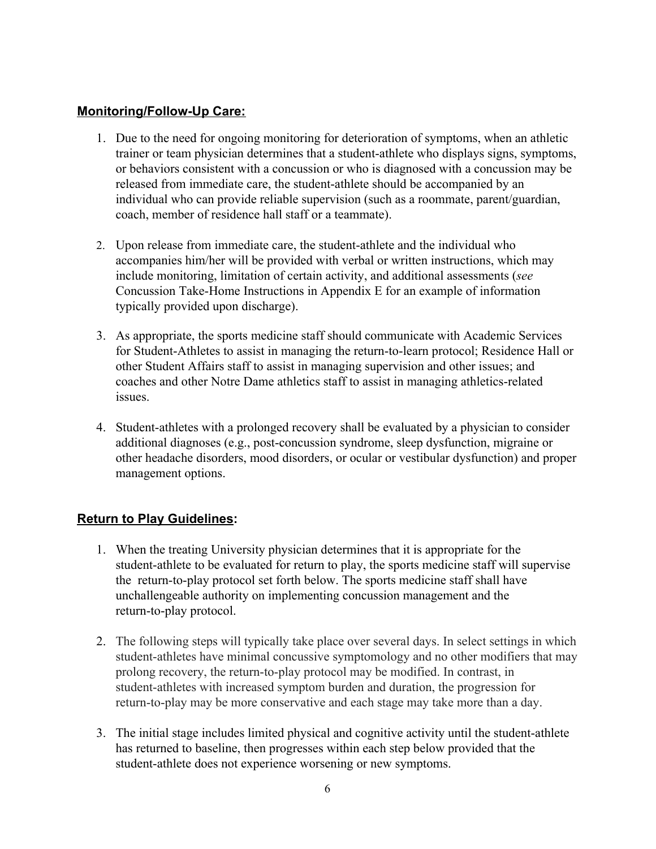#### **Monitoring/Follow-Up Care:**

- 1. Due to the need for ongoing monitoring for deterioration of symptoms, when an athletic trainer or team physician determines that a student-athlete who displays signs, symptoms, or behaviors consistent with a concussion or who is diagnosed with a concussion may be released from immediate care, the student-athlete should be accompanied by an individual who can provide reliable supervision (such as a roommate, parent/guardian, coach, member of residence hall staff or a teammate).
- 2. Upon release from immediate care, the student-athlete and the individual who accompanies him/her will be provided with verbal or written instructions, which may include monitoring, limitation of certain activity, and additional assessments (*see* Concussion Take-Home Instructions in Appendix E for an example of information typically provided upon discharge).
- 3. As appropriate, the sports medicine staff should communicate with Academic Services for Student-Athletes to assist in managing the return-to-learn protocol; Residence Hall or other Student Affairs staff to assist in managing supervision and other issues; and coaches and other Notre Dame athletics staff to assist in managing athletics-related issues.
- 4. Student-athletes with a prolonged recovery shall be evaluated by a physician to consider additional diagnoses (e.g., post-concussion syndrome, sleep dysfunction, migraine or other headache disorders, mood disorders, or ocular or vestibular dysfunction) and proper management options.

# **Return to Play Guidelines:**

- 1. When the treating University physician determines that it is appropriate for the student-athlete to be evaluated for return to play, the sports medicine staff will supervise the return-to-play protocol set forth below. The sports medicine staff shall have unchallengeable authority on implementing concussion management and the return-to-play protocol.
- 2. The following steps will typically take place over several days. In select settings in which student-athletes have minimal concussive symptomology and no other modifiers that may prolong recovery, the return-to-play protocol may be modified. In contrast, in student-athletes with increased symptom burden and duration, the progression for return-to-play may be more conservative and each stage may take more than a day.
- 3. The initial stage includes limited physical and cognitive activity until the student-athlete has returned to baseline, then progresses within each step below provided that the student-athlete does not experience worsening or new symptoms.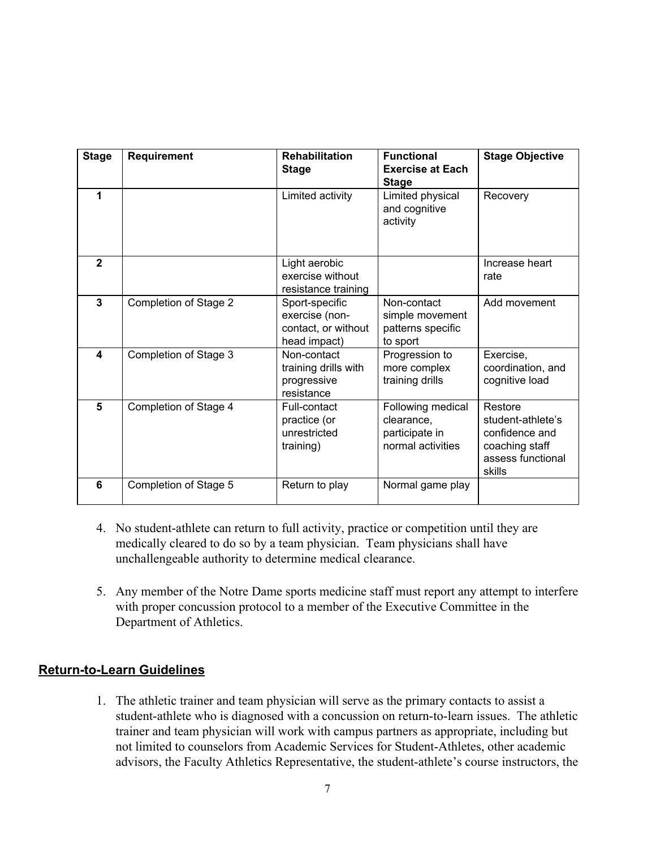| <b>Stage</b>   | Requirement           | <b>Rehabilitation</b><br><b>Stage</b>                                   | <b>Functional</b><br><b>Exercise at Each</b><br><b>Stage</b>           | <b>Stage Objective</b>                                                                          |
|----------------|-----------------------|-------------------------------------------------------------------------|------------------------------------------------------------------------|-------------------------------------------------------------------------------------------------|
| 1              |                       | Limited activity                                                        | Limited physical<br>and cognitive<br>activity                          | Recovery                                                                                        |
| $\overline{2}$ |                       | Light aerobic<br>exercise without<br>resistance training                |                                                                        | Increase heart<br>rate                                                                          |
| 3              | Completion of Stage 2 | Sport-specific<br>exercise (non-<br>contact, or without<br>head impact) | Non-contact<br>simple movement<br>patterns specific<br>to sport        | Add movement                                                                                    |
| 4              | Completion of Stage 3 | Non-contact<br>training drills with<br>progressive<br>resistance        | Progression to<br>more complex<br>training drills                      | Exercise,<br>coordination, and<br>cognitive load                                                |
| 5              | Completion of Stage 4 | Full-contact<br>practice (or<br>unrestricted<br>training)               | Following medical<br>clearance,<br>participate in<br>normal activities | Restore<br>student-athlete's<br>confidence and<br>coaching staff<br>assess functional<br>skills |
| 6              | Completion of Stage 5 | Return to play                                                          | Normal game play                                                       |                                                                                                 |

- 4. No student-athlete can return to full activity, practice or competition until they are medically cleared to do so by a team physician. Team physicians shall have unchallengeable authority to determine medical clearance.
- 5. Any member of the Notre Dame sports medicine staff must report any attempt to interfere with proper concussion protocol to a member of the Executive Committee in the Department of Athletics.

# **Return-to-Learn Guidelines**

1. The athletic trainer and team physician will serve as the primary contacts to assist a student-athlete who is diagnosed with a concussion on return-to-learn issues. The athletic trainer and team physician will work with campus partners as appropriate, including but not limited to counselors from Academic Services for Student-Athletes, other academic advisors, the Faculty Athletics Representative, the student-athlete's course instructors, the